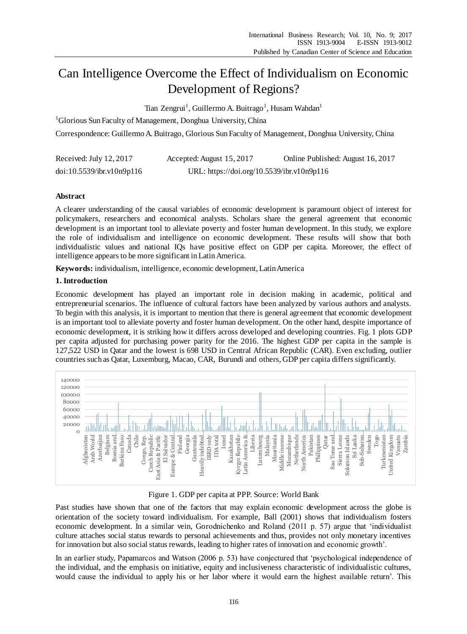# Can Intelligence Overcome the Effect of Individualism on Economic Development of Regions?

Tian Zengrui<sup>1</sup>, Guillermo A. Buitrago<sup>1</sup>, Husam Wahdan<sup>1</sup>

<sup>1</sup>Glorious Sun Faculty of Management, Donghua University, China

Correspondence: Guillermo A. Buitrago, Glorious Sun Faculty of Management, Donghua University, China

| Received: July 12, 2017   | Accepted: August 15, 2017                  | Online Published: August 16, 2017 |
|---------------------------|--------------------------------------------|-----------------------------------|
| doi:10.5539/ibr.v10n9p116 | URL: https://doi.org/10.5539/ibr.v10n9p116 |                                   |

# **Abstract**

A clearer understanding of the causal variables of economic development is paramount object of interest for policymakers, researchers and economical analysts. Scholars share the general agreement that economic development is an important tool to alleviate poverty and foster human development. In this study, we explore the role of individualism and intelligence on economic development. These results will show that both individualistic values and national IQs have positive effect on GDP per capita. Moreover, the effect of intelligence appears to be more significant in Latin America.

**Keywords:** individualism, intelligence, economic development, Latin America

## **1. Introduction**

Economic development has played an important role in decision making in academic, political and entrepreneurial scenarios. The influence of cultural factors have been analyzed by various authors and analysts. To begin with this analysis, it is important to mention that there is general agreement that economic development is an important tool to alleviate poverty and foster human development. On the other hand, despite importance of economic development, it is striking how it differs across developed and developing countries. Fig. 1 plots GDP per capita adjusted for purchasing power parity for the 2016. The highest GDP per capita in the sample is 127,522 USD in Qatar and the lowest is 698 USD in Central African Republic (CAR). Even excluding, outlier countries such as Qatar, Luxemburg, Macao, CAR, Burundi and others, GDP per capita differs significantly.



# Figure 1. GDP per capita at PPP. Source: World Bank

Past studies have shown that one of the factors that may explain economic development across the globe is orientation of the society toward individualism. For example, Ball (2001) shows that individualism fosters economic development. In a similar vein, Gorodnichenko and Roland (2011 p. 57) argue that 'individualist culture attaches social status rewards to personal achievements and thus, provides not only monetary incentives for innovation but also social status rewards, leading to higher rates of innovation and economic growth'.

In an earlier study, Papamarcos and Watson (2006 p. 53) have conjectured that 'psychological independence of the individual, and the emphasis on initiative, equity and inclusiveness characteristic of individualistic cultures, would cause the individual to apply his or her labor where it would earn the highest available return'. This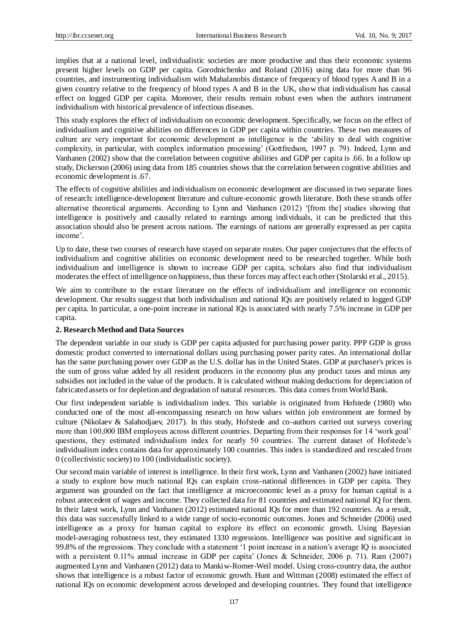implies that at a national level, individualistic societies are more productive and thus their economic systems present higher levels on GDP per capita. Gorodnichenko and Roland (2016) using data for more than 96 countries, and instrumenting individualism with Mahalanobis distance of frequency of blood types A and B in a given country relative to the frequency of blood types A and B in the UK, show that individualism has causal effect on logged GDP per capita. Moreover, their results remain robust even when the authors instrument individualism with historical prevalence of infectious diseases.

This study explores the effect of individualism on economic development. Specifically, we focus on the effect of individualism and cognitive abilities on differences in GDP per capita within countries. These two measures of culture are very important for economic development as intelligence is the 'ability to deal with cognitive complexity, in particular, with complex information processing' (Gottfredson, 1997 p. 79). Indeed, Lynn and Vanhanen (2002) show that the correlation between cognitive abilities and GDP per capita is .66. In a follow up study, Dickerson (2006) using data from 185 countries shows that the correlation between cognitive abilities and economic development is .67.

The effects of cognitive abilities and individualism on economic development are discussed in two separate lines of research: intelligence-development literature and culture-economic growth literature. Both these strands offer alternative theoretical arguments. According to Lynn and Vanhanen (2012) '[from the] studies showing that intelligence is positively and causally related to earnings among individuals, it can be predicted that this association should also be present across nations. The earnings of nations are generally expressed as per capita income'.

Up to date, these two courses of research have stayed on separate routes. Our paper conjectures that the effects of individualism and cognitive abilities on economic development need to be researched together. While both individualism and intelligence is shown to increase GDP per capita, scholars also find that individualism moderates the effect of intelligence on happiness, thus these forces may affect each other (Stolarski et al., 2015).

We aim to contribute to the extant literature on the effects of individualism and intelligence on economic development. Our results suggest that both individualism and national IQs are positively related to logged GDP per capita. In particular, a one-point increase in national IQs is associated with nearly 7.5% increase in GDP per capita.

## **2. Research Method and Data Sources**

The dependent variable in our study is GDP per capita adjusted for purchasing power parity. PPP GDP is gross domestic product converted to international dollars using purchasing power parity rates. An international dollar has the same purchasing power over GDP as the U.S. dollar has in the United States. GDP at purchaser's prices is the sum of gross value added by all resident producers in the economy plus any product taxes and minus any subsidies not included in the value of the products. It is calculated without making deductions for depreciation of fabricated assets or for depletion and degradation of natural resources. This data comes from World Bank.

Our first independent variable is individualism index. This variable is originated from Hofstede (1980) who conducted one of the most all-encompassing research on how values within job environment are formed by culture (Nikolaev & Salahodjaev, 2017). In this study, Hofstede and co-authors carried out surveys covering more than 100,000 IBM employees across different countries. Departing from their responses for 14 'work goal' questions, they estimated individualism index for nearly 50 countries. The current dataset of Hofstede's individualism index contains data for approximately 100 countries. This index is standardized and rescaled from 0 (collectivistic society) to 100 (individualistic society).

Our second main variable of interest is intelligence. In their first work, Lynn and Vanhanen (2002) have initiated a study to explore how much national IQs can explain cross-national differences in GDP per capita. They argument was grounded on the fact that intelligence at microeconomic level as a proxy for human capital is a robust antecedent of wages and income. They collected data for 81 countries and estimated national IQ for them. In their latest work, Lynn and Vanhanen (2012) estimated national IQs for more than 192 countries. As a result, this data was successfully linked to a wide range of socio-economic outcomes. Jones and Schneider (2006) used intelligence as a proxy for human capital to explore its effect on economic growth. Using Bayesian model-averaging robustness test, they estimated 1330 regressions. Intelligence was positive and significant in 99.8% of the regressions. They conclude with a statement '1 point increase in a nation's average IQ is associated with a persistent 0.11% annual increase in GDP per capita' (Jones & Schneider, 2006 p. 71). Ram (2007) augmented Lynn and Vanhanen (2012) data to Mankiw-Romer-Weil model. Using cross-country data, the author shows that intelligence is a robust factor of economic growth. Hunt and Wittman (2008) estimated the effect of national IQs on economic development across developed and developing countries. They found that intelligence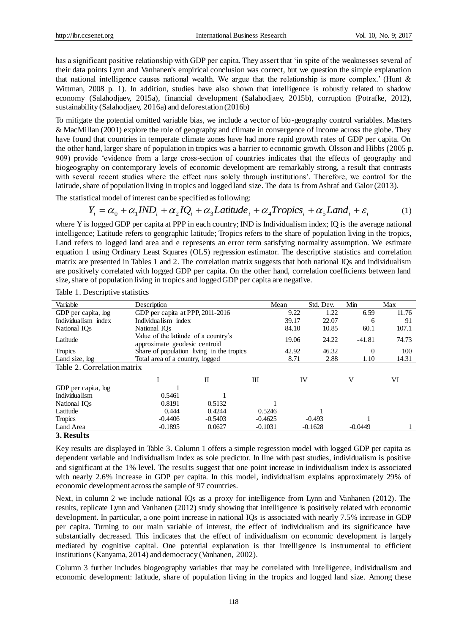has a significant positive relationship with GDP per capita. They assert that 'in spite of the weaknesses several of their data points Lynn and Vanhanen's empirical conclusion was correct, but we question the simple explanation that national intelligence causes national wealth. We argue that the relationship is more complex.' (Hunt  $\&$ Wittman, 2008 p. 1). In addition, studies have also shown that intelligence is robustly related to shadow economy (Salahodjaev, 2015a), financial development (Salahodjaev, 2015b), corruption (Potrafke, 2012), sustainability (Salahodjaev, 2016a) and deforestation (2016b)

To mitigate the potential omitted variable bias, we include a vector of bio-geography control variables. Masters & MacMillan (2001) explore the role of geography and climate in convergence of income across the globe. They have found that countries in temperate climate zones have had more rapid growth rates of GDP per capita. On the other hand, larger share of population in tropics was a barrier to economic growth. Olsson and Hibbs (2005 p. 909) provide 'evidence from a large cross-section of countries indicates that the effects of geography and biogeography on contemporary levels of economic development are remarkably strong, a result that contrasts with several recent studies where the effect runs solely through institutions'. Therefore, we control for the latitude, share of population living in tropics and logged land size. The data is from Ashraf and Galor (2013).

The statistical model of interest can be specified as following:

$$
Y_i = \alpha_0 + \alpha_1 IND_i + \alpha_2 IQ_i + \alpha_3 Latitude_i + \alpha_4 Tropics_i + \alpha_5 Land_i + \varepsilon_i
$$
 (1)

where Y is logged GDP per capita at PPP in each country; IND is Individualism index; IQ is the average national intelligence; Latitude refers to geographic latitude; Tropics refers to the share of population living in the tropics, Land refers to logged land area and e represents an error term satisfying normality assumption. We estimate equation 1 using Ordinary Least Squares (OLS) regression estimator. The descriptive statistics and correlation matrix are presented in Tables 1 and 2. The correlation matrix suggests that both national IQs and individualism are positively correlated with logged GDP per capita. On the other hand, correlation coefficients between land size, share of population living in tropics and logged GDP per capita are negative.

| Variable                    | Description                                                           |              |           | Mean  | Std. Dev. | Min       | Max   |
|-----------------------------|-----------------------------------------------------------------------|--------------|-----------|-------|-----------|-----------|-------|
| GDP per capita, log         | GDP per capita at PPP, 2011-2016                                      |              |           | 9.22  | 1.22      | 6.59      | 11.76 |
| Individualism index         | Individualism index                                                   |              |           | 39.17 | 22.07     | 6         | 91    |
| National IO <sub>s</sub>    | National IO <sub>s</sub>                                              |              |           | 84.10 | 10.85     | 60.1      | 107.1 |
| Latitude                    | Value of the latitude of a country's<br>approximate geodesic centroid |              |           | 19.06 | 24.22     | $-41.81$  | 74.73 |
| <b>Tropics</b>              | Share of population living in the tropics                             |              |           | 42.92 | 46.32     | $\Omega$  | 100   |
| Land size, log              | Total area of a country, logged                                       |              |           | 8.71  | 2.88      | 1.10      | 14.31 |
| Table 2. Correlation matrix |                                                                       |              |           |       |           |           |       |
|                             |                                                                       | $\mathbf{I}$ | Ш         | IV    |           | v         | VI    |
| GDP per capita, log         |                                                                       |              |           |       |           |           |       |
| Individua lism              | 0.5461                                                                |              |           |       |           |           |       |
| National IOs                | 0.8191                                                                | 0.5132       |           |       |           |           |       |
| Latitude                    | 0.444                                                                 | 0.4244       | 0.5246    |       |           |           |       |
| <b>Tropics</b>              | $-0.4406$                                                             | $-0.5403$    | $-0.4625$ |       | $-0.493$  |           |       |
| Land Area                   | $-0.1895$                                                             | 0.0627       | $-0.1031$ |       | $-0.1628$ | $-0.0449$ |       |

Table 1. Descriptive statistics

#### **3. Results**

Key results are displayed in Table 3. Column 1 offers a simple regression model with logged GDP per capita as dependent variable and individualism index as sole predictor. In line with past studies, individualism is positive and significant at the 1% level. The results suggest that one point increase in individualism index is associated with nearly 2.6% increase in GDP per capita. In this model, individualism explains approximately 29% of economic development across the sample of 97 countries.

Next, in column 2 we include national IQs as a proxy for intelligence from Lynn and Vanhanen (2012). The results, replicate Lynn and Vanhanen (2012) study showing that intelligence is positively related with economic development. In particular, a one point increase in national IQs is associated with nearly 7.5% increase in GDP per capita. Turning to our main variable of interest, the effect of individualism and its significance have substantially decreased. This indicates that the effect of individualism on economic development is largely mediated by cognitive capital. One potential explanation is that intelligence is instrumental to efficient institutions (Kanyama, 2014) and democracy (Vanhanen, 2002).

Column 3 further includes biogeography variables that may be correlated with intelligence, individualism and economic development: latitude, share of population living in the tropics and logged land size. Among these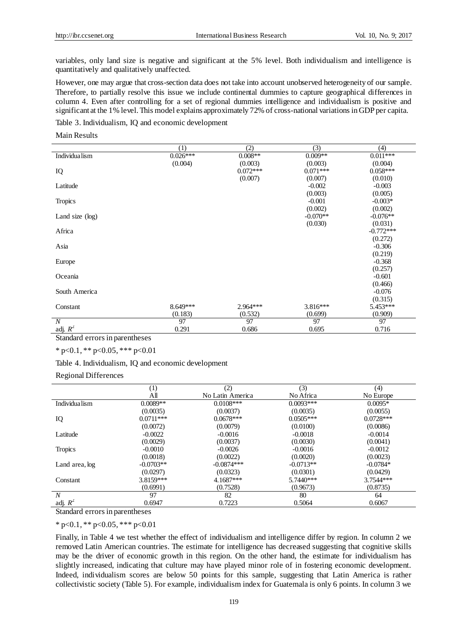variables, only land size is negative and significant at the 5% level. Both individualism and intelligence is quantitatively and qualitatively unaffected.

However, one may argue that cross-section data does not take into account unobserved heterogeneity of our sample. Therefore, to partially resolve this issue we include continental dummies to capture geographical differences in column 4. Even after controlling for a set of regional dummies intelligence and individualism is positive and significant at the 1% level. This model explains approximately 72% of cross-national variations in GDP per capita.

Table 3. Individualism, IQ and economic development

Main Results

|                    | (1)        | (2)        | (3)        | (4)         |
|--------------------|------------|------------|------------|-------------|
| Individua lism     | $0.026***$ | $0.008**$  | $0.009**$  | $0.011***$  |
|                    | (0.004)    | (0.003)    | (0.003)    | (0.004)     |
| IQ                 |            | $0.072***$ | $0.071***$ | $0.058***$  |
|                    |            | (0.007)    | (0.007)    | (0.010)     |
| Latitude           |            |            | $-0.002$   | $-0.003$    |
|                    |            |            | (0.003)    | (0.005)     |
| <b>Tropics</b>     |            |            | $-0.001$   | $-0.003*$   |
|                    |            |            | (0.002)    | (0.002)     |
| Land size $(\log)$ |            |            | $-0.070**$ | $-0.076**$  |
|                    |            |            | (0.030)    | (0.031)     |
| Africa             |            |            |            | $-0.772***$ |
|                    |            |            |            | (0.272)     |
| Asia               |            |            |            | $-0.306$    |
|                    |            |            |            | (0.219)     |
| Europe             |            |            |            | $-0.368$    |
|                    |            |            |            | (0.257)     |
| Oceania            |            |            |            | $-0.601$    |
|                    |            |            |            | (0.466)     |
| South America      |            |            |            | $-0.076$    |
|                    |            |            |            | (0.315)     |
| Constant           | 8.649***   | $2.964***$ | $3.816***$ | 5.453***    |
|                    | (0.183)    | (0.532)    | (0.699)    | (0.909)     |
| $\boldsymbol{N}$   | 97         | 97         | 97         | 97          |
| adj. $R^2$         | 0.291      | 0.686      | 0.695      | 0.716       |

Standard errors in parentheses

 $*$  p<0.1,  $*$  p<0.05,  $*$  \*\* p<0.01

Table 4. Individualism, IQ and economic development

Regional Differences

|                  | (1)         | (2)              | (3)         | (4)         |
|------------------|-------------|------------------|-------------|-------------|
|                  | All         | No Latin America | No Africa   | No Europe   |
| Individua lism   | $0.0089**$  | $0.0108***$      | $0.0093***$ | $0.0095*$   |
|                  | (0.0035)    | (0.0037)         | (0.0035)    | (0.0055)    |
| IQ               | $0.0711***$ | $0.0678***$      | $0.0505***$ | $0.0728***$ |
|                  | (0.0072)    | (0.0079)         | (0.0100)    | (0.0086)    |
| Latitude         | $-0.0022$   | $-0.0016$        | $-0.0018$   | $-0.0014$   |
|                  | (0.0029)    | (0.0037)         | (0.0030)    | (0.0041)    |
| <b>Tropics</b>   | $-0.0010$   | $-0.0026$        | $-0.0016$   | $-0.0012$   |
|                  | (0.0018)    | (0.0022)         | (0.0020)    | (0.0023)    |
| Land area, log   | $-0.0703**$ | $-0.0874***$     | $-0.0713**$ | $-0.0784*$  |
|                  | (0.0297)    | (0.0323)         | (0.0301)    | (0.0429)    |
| Constant         | 3.8159***   | $4.1687***$      | $5.7440***$ | 3.7544***   |
|                  | (0.6991)    | (0.7528)         | (0.9673)    | (0.8735)    |
| $\boldsymbol{N}$ | 97          | 82               | 80          | 64          |
| adj. $R^2$       | 0.6947      | 0.7223           | 0.5064      | 0.6067      |

Standard errors in parentheses

 $*$  p<0.1,  $*$  p<0.05,  $*$  \*\* p<0.01

Finally, in Table 4 we test whether the effect of individualism and intelligence differ by region. In column 2 we removed Latin American countries. The estimate for intelligence has decreased suggesting that cognitive skills may be the driver of economic growth in this region. On the other hand, the estimate for individualism has slightly increased, indicating that culture may have played minor role of in fostering economic development. Indeed, individualism scores are below 50 points for this sample, suggesting that Latin America is rather collectivistic society (Table 5). For example, individualism index for Guatemala is only 6 points. In column 3 we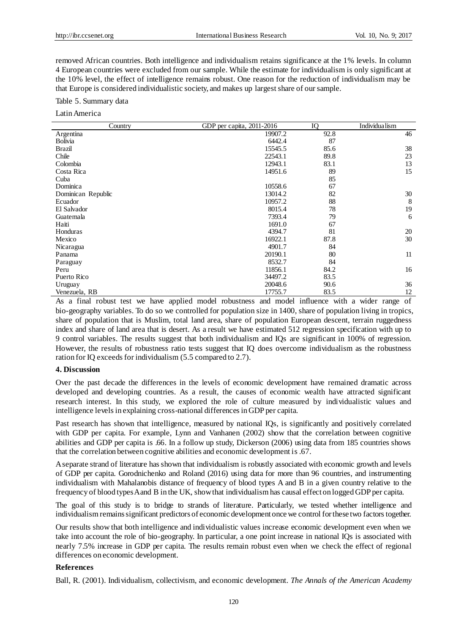removed African countries. Both intelligence and individualism retains significance at the 1% levels. In column 4 European countries were excluded from our sample. While the estimate for individualism is only significant at the 10% level, the effect of intelligence remains robust. One reason for the reduction of individualism may be that Europe is considered individualistic society, and makes up largest share of our sample.

Table 5. Summary data

Latin America

| Country            | GDP per capita, 2011-2016 | IQ   | Individua lism |
|--------------------|---------------------------|------|----------------|
| Argentina          | 19907.2                   | 92.8 | 46             |
| <b>Bolivia</b>     | 6442.4                    | 87   |                |
| Brazil             | 15545.5                   | 85.6 | 38             |
| Chile              | 22543.1                   | 89.8 | 23             |
| Colombia           | 12943.1                   | 83.1 | 13             |
| Costa Rica         | 14951.6                   | 89   | 15             |
| Cuba               |                           | 85   |                |
| Dominica           | 10558.6                   | 67   |                |
| Dominican Republic | 13014.2                   | 82   | 30             |
| Ecuador            | 10957.2                   | 88   | 8              |
| El Salvador        | 8015.4                    | 78   | 19             |
| Guatemala          | 7393.4                    | 79   | 6              |
| Haiti              | 1691.0                    | 67   |                |
| Honduras           | 4394.7                    | 81   | 20             |
| Mexico             | 16922.1                   | 87.8 | 30             |
| Nicaragua          | 4901.7                    | 84   |                |
| Panama             | 20190.1                   | 80   | 11             |
| Paraguay           | 8532.7                    | 84   |                |
| Peru               | 11856.1                   | 84.2 | 16             |
| Puerto Rico        | 34497.2                   | 83.5 |                |
| Uruguay            | 20048.6                   | 90.6 | 36             |
| Venezuela, RB      | 17755.7                   | 83.5 | 12             |

As a final robust test we have applied model robustness and model influence with a wider range of bio-geography variables. To do so we controlled for population size in 1400, share of population living in tropics, share of population that is Muslim, total land area, share of population European descent, terrain ruggedness index and share of land area that is desert. As a result we have estimated 512 regression specification with up to 9 control variables. The results suggest that both individualism and IQs are significant in 100% of regression. However, the results of robustness ratio tests suggest that IQ does overcome individualism as the robustness ration for IQ exceeds for individualism (5.5 compared to 2.7).

### **4. Discussion**

Over the past decade the differences in the levels of economic development have remained dramatic across developed and developing countries. As a result, the causes of economic wealth have attracted significant research interest. In this study, we explored the role of culture measured by individualistic values and intelligence levels in explaining cross-national differences in GDP per capita.

Past research has shown that intelligence, measured by national IQs, is significantly and positively correlated with GDP per capita. For example, Lynn and Vanhanen (2002) show that the correlation between cognitive abilities and GDP per capita is .66. In a follow up study, Dickerson (2006) using data from 185 countries shows that the correlation between cognitive abilities and economic development is .67.

A separate strand of literature has shown that individualism is robustly associated with economic growth and levels of GDP per capita. Gorodnichenko and Roland (2016) using data for more than 96 countries, and instrumenting individualism with Mahalanobis distance of frequency of blood types A and B in a given country relative to the frequency of blood types A and B in the UK, show that individualism has causal effect on logged GDP per capita.

The goal of this study is to bridge to strands of literature. Particularly, we tested whether intelligence and individualism remains significant predictors of economic development once we control for these two factors together.

Our results show that both intelligence and individualistic values increase economic development even when we take into account the role of bio-geography. In particular, a one point increase in national IQs is associated with nearly 7.5% increase in GDP per capita. The results remain robust even when we check the effect of regional differences on economic development.

#### **References**

Ball, R. (2001). Individualism, collectivism, and economic development. *The Annals of the American Academy*